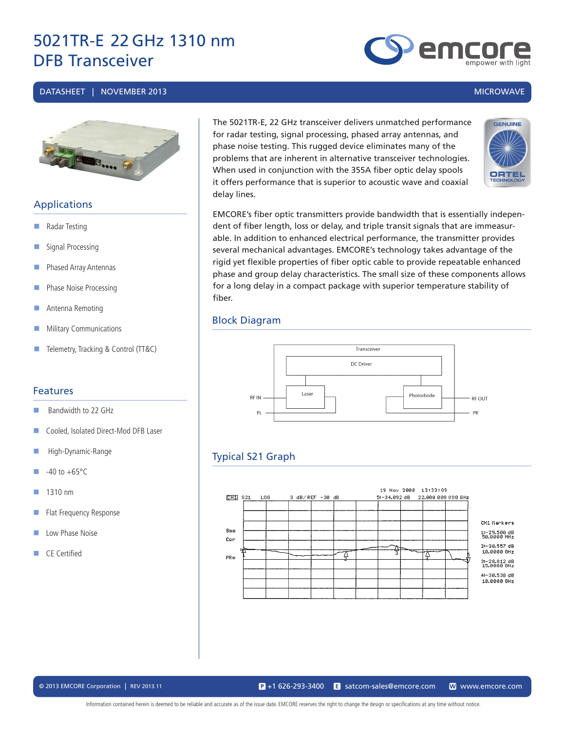#### DATASHEET | NOVEMBER 2013 MICROWAVE



#### **Applications**

- Radar Testing
- Signal Processing
- **Phased Array Antennas**
- **Phase Noise Processing**
- **Antenna Remoting**
- **Military Communications**
- Telemetry, Tracking & Control (TT&C)

#### Features

- Bandwidth to 22 GHz
- Cooled, Isolated Direct-Mod DFB Laser
- High-Dynamic-Range
- $\Box$  -40 to +65°C
- $\blacksquare$  1310 nm
- Flat Frequency Response
- **Low Phase Noise**
- CF Certified

The 5021TR-E, 22 GHz transceiver delivers unmatched performance for radar testing, signal processing, phased array antennas, and phase noise testing. This rugged device eliminates many of the problems that are inherent in alternative transceiver technologies. When used in conjunction with the 355A fiber optic delay spools it offers performance that is superior to acoustic wave and coaxial delay lines.



emc

EMCORE's fiber optic transmitters provide bandwidth that is essentially independent of fiber length, loss or delay, and triple transit signals that are immeasurable. In addition to enhanced electrical performance, the transmitter provides several mechanical advantages. EMCORE's technology takes advantage of the rigid yet flexible properties of fiber optic cable to provide repeatable enhanced phase and group delay characteristics. The small size of these components allows for a long delay in a compact package with superior temperature stability of fiber.

#### Block Diagram



### Typical S21 Graph



© 2013 EMCORE Corporation | REV 2013.11 satcom-sales@emcore.com W www.emcore.com www.emcore.com www.emcore.com  $\mathbf{P}_{1}$  +1 626-293-3400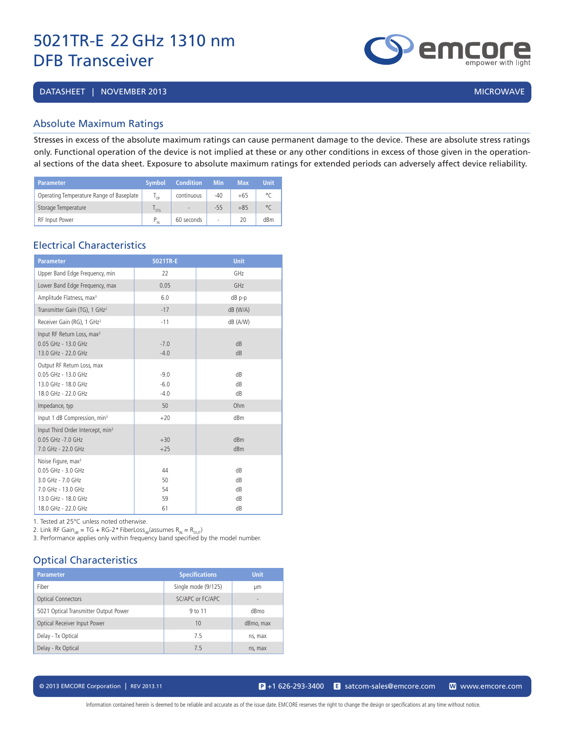DATASHEET | NOVEMBER 2013 | MICROWAVE | 2009 | MICROWAVE | 2009 | MICROWAVE | 2009 | MICROWAVE

#### Absolute Maximum Ratings

Stresses in excess of the absolute maximum ratings can cause permanent damage to the device. These are absolute stress ratings only. Functional operation of the device is not implied at these or any other conditions in excess of those given in the operational sections of the data sheet. Exposure to absolute maximum ratings for extended periods can adversely affect device reliability.

| Parameter                                | <b>Symbol</b>      | <b>Condition</b>         | <b>Min</b> | Max   | <b>Unit</b> |
|------------------------------------------|--------------------|--------------------------|------------|-------|-------------|
| Operating Temperature Range of Baseplate | $^1$ OP            | continuous               | $-40$      | $+65$ | ۹٢          |
| Storage Temperature                      | <b>STG</b>         | $\overline{\phantom{a}}$ | $-55$      | $+85$ | $\circ$     |
| RF Input Power                           | P<br>$\mathsf{IN}$ | 60 seconds               | ÷          | 20    | dBm         |

#### Electrical Characteristics

| <b>Parameter</b>                                                                                                                              | 5021TR-E                   | <b>Unit</b>                |
|-----------------------------------------------------------------------------------------------------------------------------------------------|----------------------------|----------------------------|
| Upper Band Edge Frequency, min                                                                                                                | 22                         | GHz                        |
| Lower Band Edge Frequency, max                                                                                                                | 0.05                       | GHz                        |
| Amplitude Flatness, max <sup>3</sup>                                                                                                          | 6.0                        | $dB$ p-p                   |
| Transmitter Gain (TG), 1 GHz <sup>2</sup>                                                                                                     | $-17$                      | $dB$ (W/A)                 |
| Receiver Gain (RG), 1 GHz <sup>2</sup>                                                                                                        | $-11$                      | dB (A/W)                   |
| Input RF Return Loss, max <sup>3</sup><br>0.05 GHz - 13.0 GHz<br>13.0 GHz - 22.0 GHz                                                          | $-7.0$<br>$-4.0$           | dB<br>dB                   |
| Output RF Return Loss, max<br>0.05 GHz - 13.0 GHz<br>13.0 GHz - 18.0 GHz<br>18.0 GHz - 22.0 GHz                                               | $-9.0$<br>$-6.0$<br>$-4.0$ | dB<br>dB<br>dB             |
| Impedance, typ                                                                                                                                | 50                         | Ohm                        |
| Input 1 dB Compression, min <sup>3</sup>                                                                                                      | $+20$                      | dBm                        |
| Input Third Order Intercept, min <sup>3</sup><br>$0.05$ GHz - $7.0$ GHz<br>7.0 GHz - 22.0 GHz                                                 | $+30$<br>$+25$             | dBm<br>dBm                 |
| Noise Figure, max <sup>3</sup><br>0.05 GHz - 3.0 GHz<br>3.0 GHz - 7.0 GHz<br>7.0 GHz - 13.0 GHz<br>13.0 GHz - 18.0 GHz<br>18.0 GHz - 22.0 GHz | 44<br>50<br>54<br>59<br>61 | dB<br>dB<br>dB<br>dB<br>dB |

1. Tested at 25°C unless noted otherwise.

2. Link RF Gain<sub>dB</sub> = TG + RG-2\* FiberLoss<sub>dB</sub>(assumes  $R_{\text{IN}} = R_{\text{OUT}}$ )

3. Performance applies only within frequency band specified by the model number.

#### Optical Characteristics

| <b>Parameter</b>                      | <b>Specifications</b> | <b>Unit</b>              |
|---------------------------------------|-----------------------|--------------------------|
| Fiber                                 | Single mode (9/125)   | μm                       |
| <b>Optical Connectors</b>             | SC/APC or FC/APC      | $\overline{\phantom{a}}$ |
| 5021 Optical Transmitter Output Power | 9 to 11               | dBmo                     |
| Optical Receiver Input Power          | 10                    | dBmo, max                |
| Delay - Tx Optical                    | 75                    | ns, max                  |
| Delay - Rx Optical                    | 7.5                   | ns, max                  |

© 2013 EMCORE Corporation | REV 2013.11 satcom-sales@emcore.com and www.emcore.com www.emcore.com www.emcore.com



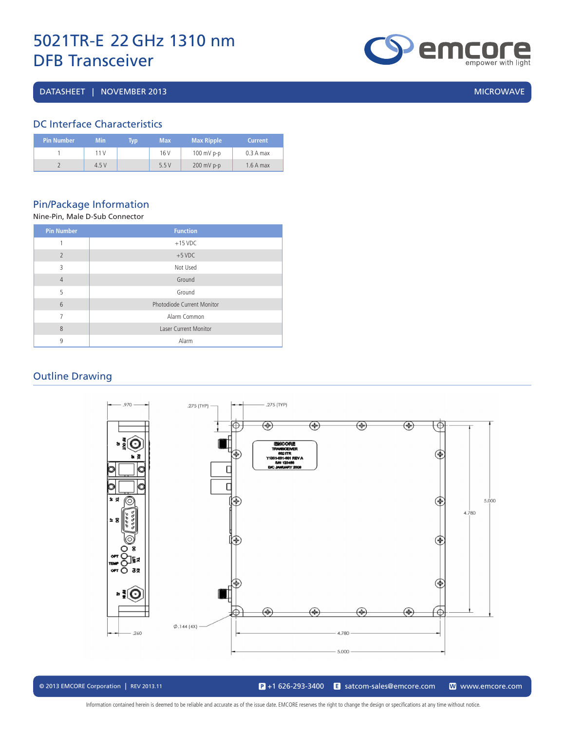DATASHEET | NOVEMBER 2013 | MICROWAVE | MICROWAVE | MICROWAVE | MICROWAVE | MICROWAVE

# **empower with light**

#### DC Interface Characteristics

| Pin Number ' | <b>Min</b> | Tvp | <b>Max</b> | <b>Max Ripple</b> | <b>Current</b> |
|--------------|------------|-----|------------|-------------------|----------------|
|              | 11 V       |     | 16 V       | $100$ mV p-p      | 0.3 A max      |
|              | 4.5V       |     | 5.5V       | $200$ mV p-p      | $1.6A$ max     |

#### Pin/Package Information

#### Nine-Pin, Male D-Sub Connector

| <b>Pin Number</b> | <b>Function</b>              |
|-------------------|------------------------------|
| 1                 | $+15$ VDC                    |
| $\overline{2}$    | $+5$ VDC                     |
| 3                 | Not Used                     |
| $\overline{4}$    | Ground                       |
| 5                 | Ground                       |
| 6                 | Photodiode Current Monitor   |
| 7                 | Alarm Common                 |
| 8                 | <b>Laser Current Monitor</b> |
| 9                 | Alarm                        |

#### Outline Drawing



© 2013 EMCORE Corporation | REV 2013.11 satcom-sales@emcore.com and www.emcore.com www.emcore.com www.emcore.com